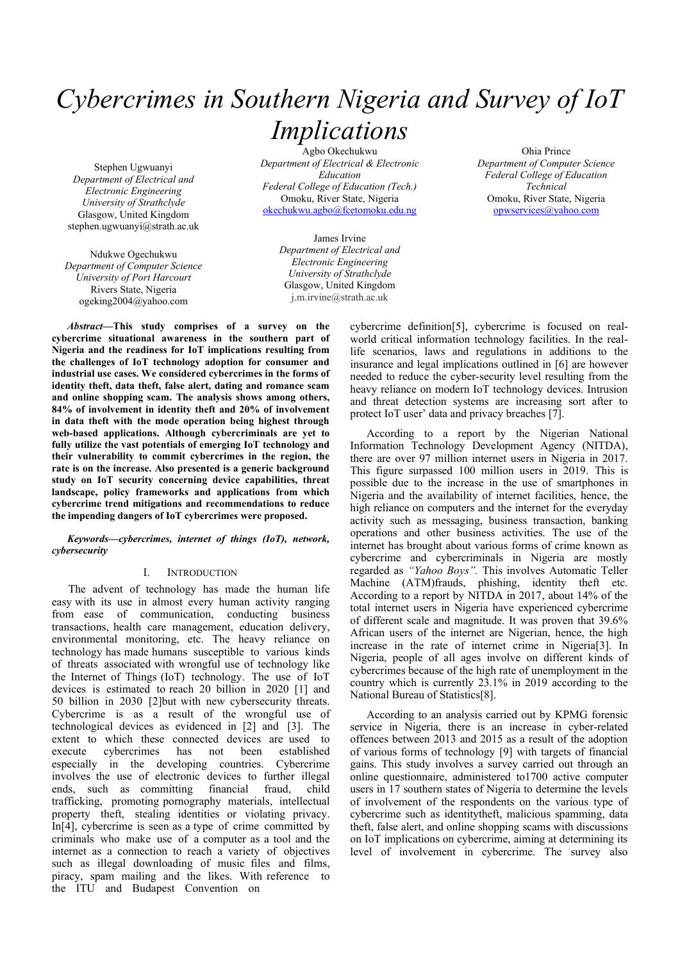# *Cybercrimes in Southern Nigeria and Survey of IoT Implications*

Stephen Ugwuanyi *Department of Electrical and Electronic Engineering University of Strathclyde* Glasgow, United Kingdom stephen.ugwuanyi@strath.ac.uk

Ndukwe Ogechukwu *Department of Computer Science University of Port Harcourt* Rivers State, Nigeria ogeking2004@yahoo.com

Agbo Okechukwu *Department of Electrical & Electronic Education Federal College of Education (Tech.)* Omoku, River State, Nigeria [okechukwu.agbo@fcetomoku.edu.ng](about:blank)

> James Irvine *Department of Electrical and Electronic Engineering University of Strathclyde* Glasgow, United Kingdom j.m.irvine@strath.ac.uk

Ohia Prince *Department of Computer Science Federal College of Education Technical* Omoku, River State, Nigeria [opwservices@yahoo.com](about:blank)

*Abstract***—This study comprises of a survey on the cybercrime situational awareness in the southern part of Nigeria and the readiness for IoT implications resulting from the challenges of IoT technology adoption for consumer and industrial use cases. We considered cybercrimes in the forms of identity theft, data theft, false alert, dating and romance scam and online shopping scam. The analysis shows among others, 84% of involvement in identity theft and 20% of involvement in data theft with the mode operation being highest through web-based applications. Although cybercriminals are yet to fully utilize the vast potentials of emerging IoT technology and their vulnerability to commit cybercrimes in the region, the rate is on the increase. Also presented is a generic background study on IoT security concerning device capabilities, threat landscape, policy frameworks and applications from which cybercrime trend mitigations and recommendations to reduce the impending dangers of IoT cybercrimes were proposed.**

## *Keywords—cybercrimes, internet of things (IoT), network, cybersecurity*

## I. INTRODUCTION

The advent of technology has made the human life easy with its use in almost every human activity ranging from ease of communication, conducting business transactions, health care management, education delivery, environmental monitoring, etc. The heavy reliance on technology has made humans susceptible to various kinds of threats associated with wrongful use of technology like the Internet of Things (IoT) technology. The use of IoT devices is estimated to reach 20 billion in 2020 [1] and 50 billion in 2030 [2]but with new cybersecurity threats. Cybercrime is as a result of the wrongful use of technological devices as evidenced in [2] and [3]. The extent to which these connected devices are used to execute cybercrimes has not been established especially in the developing countries. Cybercrime involves the use of electronic devices to further illegal ends, such as committing financial fraud, child ends, such as committing financial fraud, child trafficking, promoting pornography materials, intellectual property theft, stealing identities or violating privacy. In[4], cybercrime is seen as a type of crime committed by criminals who make use of a computer as a tool and the internet as a connection to reach a variety of objectives such as illegal downloading of music files and films, piracy, spam mailing and the likes. With reference to the ITU and Budapest Convention on

cybercrime definition[5], cybercrime is focused on realworld critical information technology facilities. In the reallife scenarios, laws and regulations in additions to the insurance and legal implications outlined in [6] are however needed to reduce the cyber-security level resulting from the heavy reliance on modern IoT technology devices. Intrusion and threat detection systems are increasing sort after to protect IoT user' data and privacy breaches [7].

According to a report by the Nigerian National Information Technology Development Agency (NITDA), there are over 97 million internet users in Nigeria in 2017. This figure surpassed 100 million users in 2019. This is possible due to the increase in the use of smartphones in Nigeria and the availability of internet facilities, hence, the high reliance on computers and the internet for the everyday activity such as messaging, business transaction, banking operations and other business activities. The use of the internet has brought about various forms of crime known as cybercrime and cybercriminals in Nigeria are mostly regarded as *"Yahoo Boys".* This involves Automatic Teller Machine (ATM)frauds, phishing, identity theft etc. According to a report by NITDA in 2017, about 14% of the total internet users in Nigeria have experienced cybercrime of different scale and magnitude. It was proven that 39.6% African users of the internet are Nigerian, hence, the high increase in the rate of internet crime in Nigeria[3]. In Nigeria, people of all ages involve on different kinds of cybercrimes because of the high rate of unemployment in the country which is currently 23.1% in 2019 according to the National Bureau of Statistics[8].

According to an analysis carried out by KPMG forensic service in Nigeria, there is an increase in cyber-related offences between 2013 and 2015 as a result of the adoption of various forms of technology [9] with targets of financial gains. This study involves a survey carried out through an online questionnaire, administered to1700 active computer users in 17 southern states of Nigeria to determine the levels of involvement of the respondents on the various type of cybercrime such as identitytheft, malicious spamming, data theft, false alert, and online shopping scams with discussions on IoT implications on cybercrime, aiming at determining its level of involvement in cybercrime. The survey also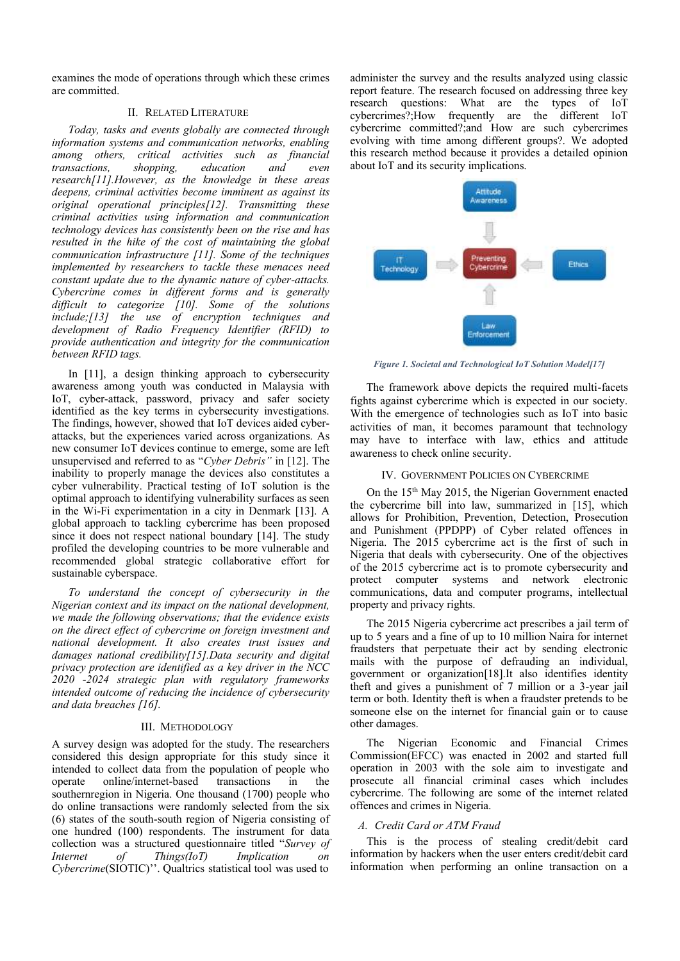examines the mode of operations through which these crimes are committed.

## II. RELATED LITERATURE

*Today, tasks and events globally are connected through information systems and communication networks, enabling among others, critical activities such as financial <i>, research[11].However, as the knowledge in these areas deepens, criminal activities become imminent as against its original operational principles[12]. Transmitting these criminal activities using information and communication technology devices has consistently been on the rise and has resulted in the hike of the cost of maintaining the global communication infrastructure [11]. Some of the techniques implemented by researchers to tackle these menaces need constant update due to the dynamic nature of cyber-attacks. Cybercrime comes in different forms and is generally difficult to categorize [10]. Some of the solutions include;[13] the use of encryption techniques and development of Radio Frequency Identifier (RFID) to provide authentication and integrity for the communication between RFID tags.*

In [11], a design thinking approach to cybersecurity awareness among youth was conducted in Malaysia with IoT, cyber-attack, password, privacy and safer society identified as the key terms in cybersecurity investigations. The findings, however, showed that IoT devices aided cyberattacks, but the experiences varied across organizations. As new consumer IoT devices continue to emerge, some are left unsupervised and referred to as "*Cyber Debris"* in [12]. The inability to properly manage the devices also constitutes a cyber vulnerability. Practical testing of IoT solution is the optimal approach to identifying vulnerability surfaces as seen in the Wi-Fi experimentation in a city in Denmark [13]. A global approach to tackling cybercrime has been proposed since it does not respect national boundary [14]. The study profiled the developing countries to be more vulnerable and recommended global strategic collaborative effort for sustainable cyberspace.

*To understand the concept of cybersecurity in the Nigerian context and its impact on the national development, we made the following observations; that the evidence exists on the direct effect of cybercrime on foreign investment and national development. It also creates trust issues and damages national credibility[15].Data security and digital privacy protection are identified as a key driver in the NCC 2020 -2024 strategic plan with regulatory frameworks intended outcome of reducing the incidence of cybersecurity and data breaches [16].* 

#### III. METHODOLOGY

A survey design was adopted for the study. The researchers considered this design appropriate for this study since it intended to collect data from the population of people who operate online/internet-based transactions in the southernregion in Nigeria. One thousand (1700) people who do online transactions were randomly selected from the six (6) states of the south-south region of Nigeria consisting of one hundred (100) respondents. The instrument for data collection was a structured questionnaire titled "*Survey of Internet of Things(IoT) Implication on Cybercrime*(SIOTIC)''. Qualtrics statistical tool was used to

administer the survey and the results analyzed using classic report feature. The research focused on addressing three key research questions: What are the types of IoT cybercrimes?;How frequently are the different IoT cybercrime committed?;and How are such cybercrimes evolving with time among different groups?. We adopted this research method because it provides a detailed opinion about IoT and its security implications.



*Figure 1. Societal and Technological IoT Solution Model[17]*

The framework above depicts the required multi-facets fights against cybercrime which is expected in our society. With the emergence of technologies such as IoT into basic activities of man, it becomes paramount that technology may have to interface with law, ethics and attitude awareness to check online security.

## IV. GOVERNMENT POLICIES ON CYBERCRIME

On the 15th May 2015, the Nigerian Government enacted the cybercrime bill into law, summarized in [15], which allows for Prohibition, Prevention, Detection, Prosecution and Punishment (PPDPP) of Cyber related offences in Nigeria. The 2015 cybercrime act is the first of such in Nigeria that deals with cybersecurity. One of the objectives of the 2015 cybercrime act is to promote cybersecurity and protect computer systems and network electronic communications, data and computer programs, intellectual property and privacy rights.

The 2015 Nigeria cybercrime act prescribes a jail term of up to 5 years and a fine of up to 10 million Naira for internet fraudsters that perpetuate their act by sending electronic mails with the purpose of defrauding an individual, government or organization[18].It also identifies identity theft and gives a punishment of 7 million or a 3-year jail term or both. Identity theft is when a fraudster pretends to be someone else on the internet for financial gain or to cause other damages.

The Nigerian Economic and Financial Crimes Commission(EFCC) was enacted in 2002 and started full operation in 2003 with the sole aim to investigate and prosecute all financial criminal cases which includes cybercrime. The following are some of the internet related offences and crimes in Nigeria.

#### *A. Credit Card or ATM Fraud*

This is the process of stealing credit/debit card information by hackers when the user enters credit/debit card information when performing an online transaction on a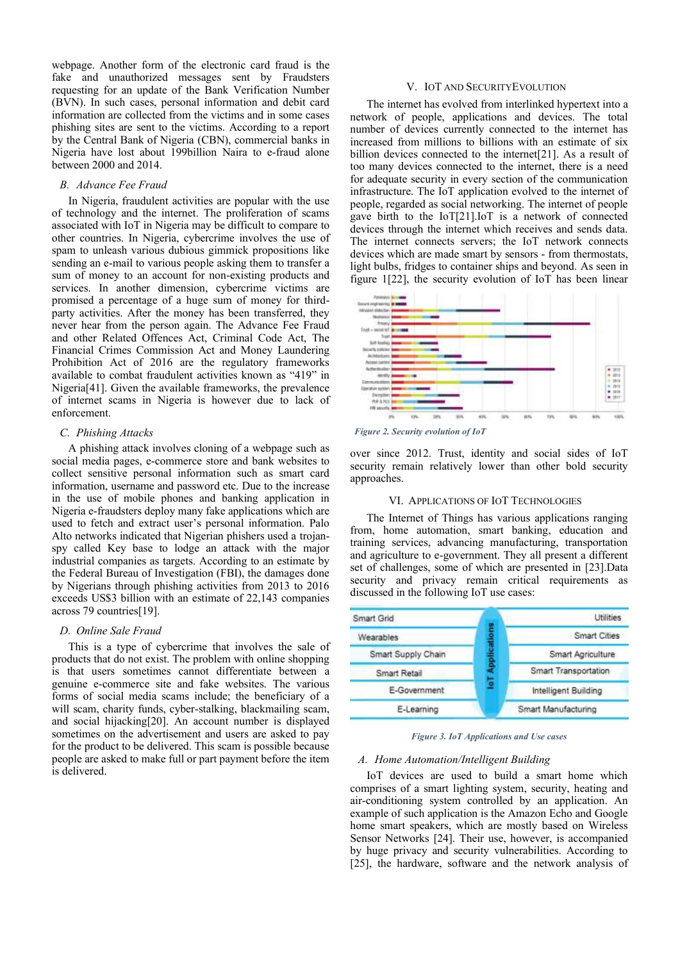webpage. Another form of the electronic card fraud is the fake and unauthorized messages sent by Fraudsters requesting for an update of the Bank Verification Number (BVN). In such cases, personal information and debit card information are collected from the victims and in some cases phishing sites are sent to the victims. According to a report by the Central Bank of Nigeria (CBN), commercial banks in Nigeria have lost about 199billion Naira to e-fraud alone between 2000 and 2014.

## *B. Advance Fee Fraud*

In Nigeria, fraudulent activities are popular with the use of technology and the internet. The proliferation of scams associated with IoT in Nigeria may be difficult to compare to other countries. In Nigeria, cybercrime involves the use of spam to unleash various dubious gimmick propositions like sending an e-mail to various people asking them to transfer a sum of money to an account for non-existing products and services. In another dimension, cybercrime victims are promised a percentage of a huge sum of money for thirdparty activities. After the money has been transferred, they never hear from the person again. The Advance Fee Fraud and other Related Offences Act, Criminal Code Act, The Financial Crimes Commission Act and Money Laundering Prohibition Act of 2016 are the regulatory frameworks available to combat fraudulent activities known as "419" in Nigeria[41]. Given the available frameworks, the prevalence of internet scams in Nigeria is however due to lack of enforcement.

## *C. Phishing Attacks*

A phishing attack involves cloning of a webpage such as social media pages, e-commerce store and bank websites to collect sensitive personal information such as smart card information, username and password etc. Due to the increase in the use of mobile phones and banking application in Nigeria e-fraudsters deploy many fake applications which are used to fetch and extract user's personal information. Palo Alto networks indicated that Nigerian phishers used a trojanspy called Key base to lodge an attack with the major industrial companies as targets. According to an estimate by the Federal Bureau of Investigation (FBI), the damages done by Nigerians through phishing activities from 2013 to 2016 exceeds US\$3 billion with an estimate of 22,143 companies across 79 countries[19].

#### *D. Online Sale Fraud*

This is a type of cybercrime that involves the sale of products that do not exist. The problem with online shopping is that users sometimes cannot differentiate between a genuine e-commerce site and fake websites. The various forms of social media scams include; the beneficiary of a will scam, charity funds, cyber-stalking, blackmailing scam, and social hijacking[20]. An account number is displayed sometimes on the advertisement and users are asked to pay for the product to be delivered. This scam is possible because people are asked to make full or part payment before the item is delivered.

#### V. IOT AND SECURITYEVOLUTION

The internet has evolved from interlinked hypertext into a network of people, applications and devices. The total number of devices currently connected to the internet has increased from millions to billions with an estimate of six billion devices connected to the internet<sup>[21]</sup>. As a result of too many devices connected to the internet, there is a need for adequate security in every section of the communication infrastructure. The IoT application evolved to the internet of people, regarded as social networking. The internet of people gave birth to the IoT[21].IoT is a network of connected devices through the internet which receives and sends data. The internet connects servers; the IoT network connects devices which are made smart by sensors - from thermostats, light bulbs, fridges to container ships and beyond. As seen in figure 1[22], the security evolution of IoT has been linear



*Figure 2. Security evolution of IoT* 

over since 2012. Trust, identity and social sides of IoT security remain relatively lower than other bold security approaches.

## VI. APPLICATIONS OF IOT TECHNOLOGIES

The Internet of Things has various applications ranging from, home automation, smart banking, education and training services, advancing manufacturing, transportation and agriculture to e-government. They all present a different set of challenges, some of which are presented in [23].Data security and privacy remain critical requirements as discussed in the following IoT use cases:



*Figure 3. IoT Applications and Use cases*

#### *A. Home Automation/Intelligent Building*

IoT devices are used to build a smart home which comprises of a smart lighting system, security, heating and air-conditioning system controlled by an application. An example of such application is the Amazon Echo and Google home smart speakers, which are mostly based on Wireless Sensor Networks [24]. Their use, however, is accompanied by huge privacy and security vulnerabilities. According to [25], the hardware, software and the network analysis of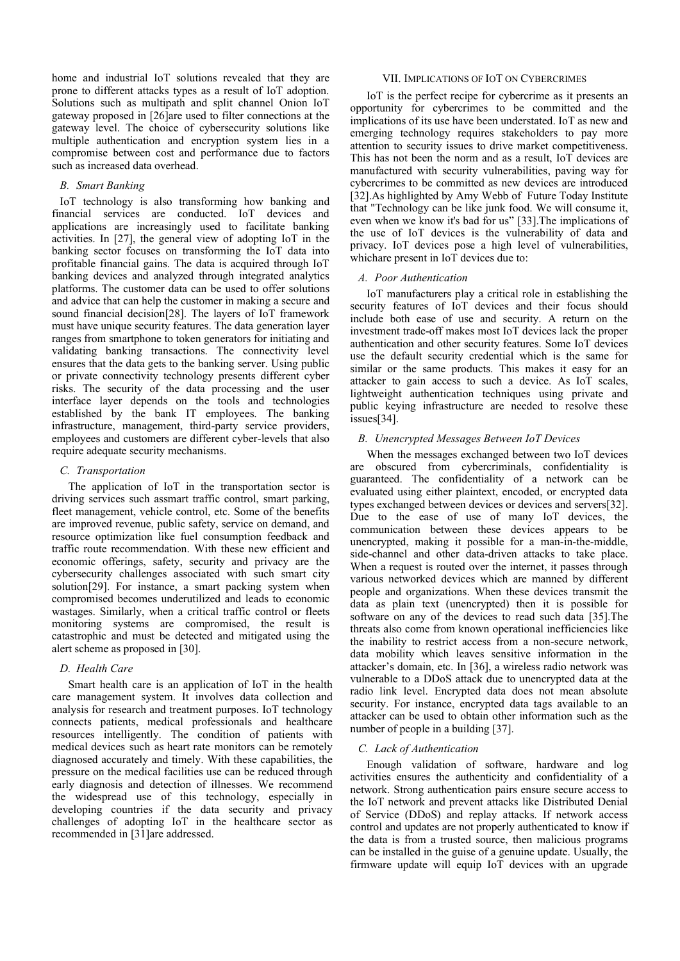home and industrial IoT solutions revealed that they are prone to different attacks types as a result of IoT adoption. Solutions such as multipath and split channel Onion IoT gateway proposed in [26]are used to filter connections at the gateway level. The choice of cybersecurity solutions like multiple authentication and encryption system lies in a compromise between cost and performance due to factors such as increased data overhead.

## *B. Smart Banking*

IoT technology is also transforming how banking and financial services are conducted. IoT devices and applications are increasingly used to facilitate banking activities. In [27], the general view of adopting IoT in the banking sector focuses on transforming the IoT data into profitable financial gains. The data is acquired through IoT banking devices and analyzed through integrated analytics platforms. The customer data can be used to offer solutions and advice that can help the customer in making a secure and sound financial decision[28]. The layers of IoT framework must have unique security features. The data generation layer ranges from smartphone to token generators for initiating and validating banking transactions. The connectivity level ensures that the data gets to the banking server. Using public or private connectivity technology presents different cyber risks. The security of the data processing and the user interface layer depends on the tools and technologies established by the bank IT employees. The banking infrastructure, management, third-party service providers, employees and customers are different cyber-levels that also require adequate security mechanisms.

# *C. Transportation*

The application of IoT in the transportation sector is driving services such assmart traffic control, smart parking, fleet management, vehicle control, etc. Some of the benefits are improved revenue, public safety, service on demand, and resource optimization like fuel consumption feedback and traffic route recommendation. With these new efficient and economic offerings, safety, security and privacy are the cybersecurity challenges associated with such smart city solution[29]. For instance, a smart packing system when compromised becomes underutilized and leads to economic wastages. Similarly, when a critical traffic control or fleets monitoring systems are compromised, the result is catastrophic and must be detected and mitigated using the alert scheme as proposed in [30].

# *D. Health Care*

Smart health care is an application of IoT in the health care management system. It involves data collection and analysis for research and treatment purposes. IoT technology connects patients, medical professionals and healthcare resources intelligently. The condition of patients with medical devices such as heart rate monitors can be remotely diagnosed accurately and timely. With these capabilities, the pressure on the medical facilities use can be reduced through early diagnosis and detection of illnesses. We recommend the widespread use of this technology, especially in developing countries if the data security and privacy challenges of adopting IoT in the healthcare sector as recommended in [31]are addressed.

## VII. IMPLICATIONS OF IOT ON CYBERCRIMES

IoT is the perfect recipe for cybercrime as it presents an opportunity for cybercrimes to be committed and the implications of its use have been understated. IoT as new and emerging technology requires stakeholders to pay more attention to security issues to drive market competitiveness. This has not been the norm and as a result, IoT devices are manufactured with security vulnerabilities, paving way for cybercrimes to be committed as new devices are introduced [32].As highlighted by Amy Webb of Future Today Institute that "Technology can be like junk food. We will consume it, even when we know it's bad for us" [33].The implications of the use of IoT devices is the vulnerability of data and privacy. IoT devices pose a high level of vulnerabilities, whichare present in IoT devices due to:

# *A. Poor Authentication*

IoT manufacturers play a critical role in establishing the security features of IoT devices and their focus should include both ease of use and security. A return on the investment trade-off makes most IoT devices lack the proper authentication and other security features. Some IoT devices use the default security credential which is the same for similar or the same products. This makes it easy for an attacker to gain access to such a device. As IoT scales, lightweight authentication techniques using private and public keying infrastructure are needed to resolve these issues[34].

# *B. Unencrypted Messages Between IoT Devices*

When the messages exchanged between two IoT devices are obscured from cybercriminals, confidentiality is guaranteed. The confidentiality of a network can be evaluated using either plaintext, encoded, or encrypted data types exchanged between devices or devices and servers[32]. Due to the ease of use of many IoT devices, the communication between these devices appears to be unencrypted, making it possible for a man-in-the-middle, side-channel and other data-driven attacks to take place. When a request is routed over the internet, it passes through various networked devices which are manned by different people and organizations. When these devices transmit the data as plain text (unencrypted) then it is possible for software on any of the devices to read such data [35].The threats also come from known operational inefficiencies like the inability to restrict access from a non-secure network, data mobility which leaves sensitive information in the attacker's domain, etc. In [36], a wireless radio network was vulnerable to a DDoS attack due to unencrypted data at the radio link level. Encrypted data does not mean absolute security. For instance, encrypted data tags available to an attacker can be used to obtain other information such as the number of people in a building [37].

## *C. Lack of Authentication*

Enough validation of software, hardware and log activities ensures the authenticity and confidentiality of a network. Strong authentication pairs ensure secure access to the IoT network and prevent attacks like Distributed Denial of Service (DDoS) and replay attacks. If network access control and updates are not properly authenticated to know if the data is from a trusted source, then malicious programs can be installed in the guise of a genuine update. Usually, the firmware update will equip IoT devices with an upgrade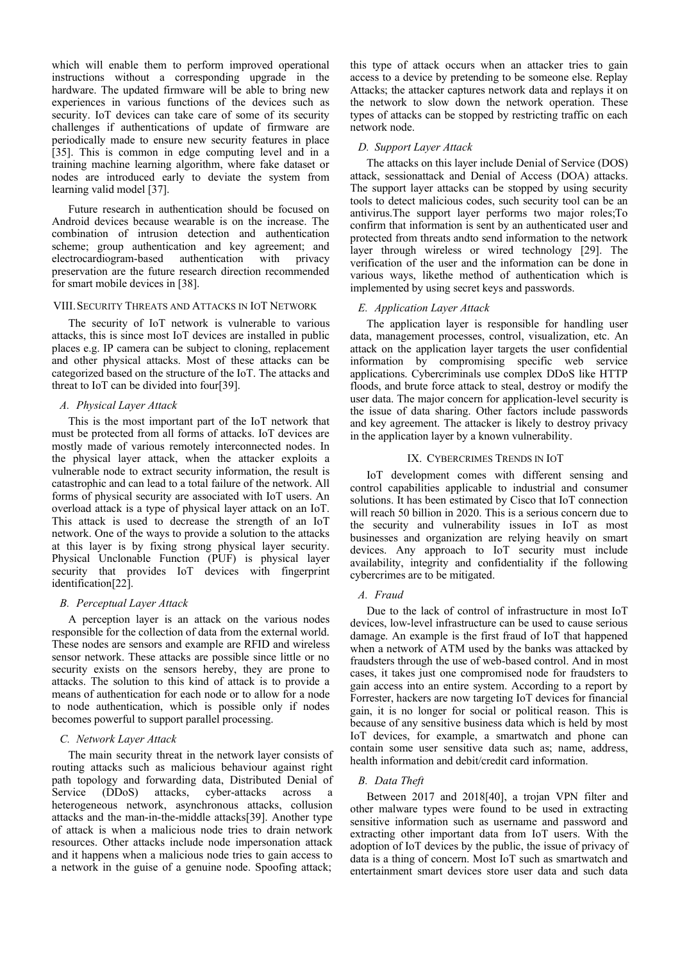which will enable them to perform improved operational instructions without a corresponding upgrade in the hardware. The updated firmware will be able to bring new experiences in various functions of the devices such as security. IoT devices can take care of some of its security challenges if authentications of update of firmware are periodically made to ensure new security features in place [35]. This is common in edge computing level and in a training machine learning algorithm, where fake dataset or nodes are introduced early to deviate the system from learning valid model [37].

Future research in authentication should be focused on Android devices because wearable is on the increase. The combination of intrusion detection and authentication scheme; group authentication and key agreement; and electrocardiogram-based authentication with privacy preservation are the future research direction recommended for smart mobile devices in [38].

## VIII.SECURITY THREATS AND ATTACKS IN IOT NETWORK

The security of IoT network is vulnerable to various attacks, this is since most IoT devices are installed in public places e.g. IP camera can be subject to cloning, replacement and other physical attacks. Most of these attacks can be categorized based on the structure of the IoT. The attacks and threat to IoT can be divided into four[39].

## *A. Physical Layer Attack*

This is the most important part of the IoT network that must be protected from all forms of attacks. IoT devices are mostly made of various remotely interconnected nodes. In the physical layer attack, when the attacker exploits a vulnerable node to extract security information, the result is catastrophic and can lead to a total failure of the network. All forms of physical security are associated with IoT users. An overload attack is a type of physical layer attack on an IoT. This attack is used to decrease the strength of an IoT network. One of the ways to provide a solution to the attacks at this layer is by fixing strong physical layer security. Physical Unclonable Function (PUF) is physical layer security that provides IoT devices with fingerprint identification[22].

#### *B. Perceptual Layer Attack*

A perception layer is an attack on the various nodes responsible for the collection of data from the external world. These nodes are sensors and example are RFID and wireless sensor network. These attacks are possible since little or no security exists on the sensors hereby, they are prone to attacks. The solution to this kind of attack is to provide a means of authentication for each node or to allow for a node to node authentication, which is possible only if nodes becomes powerful to support parallel processing.

#### *C. Network Layer Attack*

The main security threat in the network layer consists of routing attacks such as malicious behaviour against right path topology and forwarding data, Distributed Denial of Service (DDoS) attacks, cyber-attacks across a heterogeneous network, asynchronous attacks, collusion attacks and the man-in-the-middle attacks[39]. Another type of attack is when a malicious node tries to drain network resources. Other attacks include node impersonation attack and it happens when a malicious node tries to gain access to a network in the guise of a genuine node. Spoofing attack;

this type of attack occurs when an attacker tries to gain access to a device by pretending to be someone else. Replay Attacks; the attacker captures network data and replays it on the network to slow down the network operation. These types of attacks can be stopped by restricting traffic on each network node.

## *D. Support Layer Attack*

The attacks on this layer include Denial of Service (DOS) attack, sessionattack and Denial of Access (DOA) attacks. The support layer attacks can be stopped by using security tools to detect malicious codes, such security tool can be an antivirus.The support layer performs two major roles;To confirm that information is sent by an authenticated user and protected from threats andto send information to the network layer through wireless or wired technology [29]. The verification of the user and the information can be done in various ways, likethe method of authentication which is implemented by using secret keys and passwords.

## *E. Application Layer Attack*

The application layer is responsible for handling user data, management processes, control, visualization, etc. An attack on the application layer targets the user confidential information by compromising specific web service applications. Cybercriminals use complex DDoS like HTTP floods, and brute force attack to steal, destroy or modify the user data. The major concern for application-level security is the issue of data sharing. Other factors include passwords and key agreement. The attacker is likely to destroy privacy in the application layer by a known vulnerability.

## IX. CYBERCRIMES TRENDS IN IOT

IoT development comes with different sensing and control capabilities applicable to industrial and consumer solutions. It has been estimated by Cisco that IoT connection will reach 50 billion in 2020. This is a serious concern due to the security and vulnerability issues in IoT as most businesses and organization are relying heavily on smart devices. Any approach to IoT security must include availability, integrity and confidentiality if the following cybercrimes are to be mitigated.

#### *A. Fraud*

Due to the lack of control of infrastructure in most IoT devices, low-level infrastructure can be used to cause serious damage. An example is the first fraud of IoT that happened when a network of ATM used by the banks was attacked by fraudsters through the use of web-based control. And in most cases, it takes just one compromised node for fraudsters to gain access into an entire system. According to a report by Forrester, hackers are now targeting IoT devices for financial gain, it is no longer for social or political reason. This is because of any sensitive business data which is held by most IoT devices, for example, a smartwatch and phone can contain some user sensitive data such as; name, address, health information and debit/credit card information.

## *B. Data Theft*

Between 2017 and 2018[40], a trojan VPN filter and other malware types were found to be used in extracting sensitive information such as username and password and extracting other important data from IoT users. With the adoption of IoT devices by the public, the issue of privacy of data is a thing of concern. Most IoT such as smartwatch and entertainment smart devices store user data and such data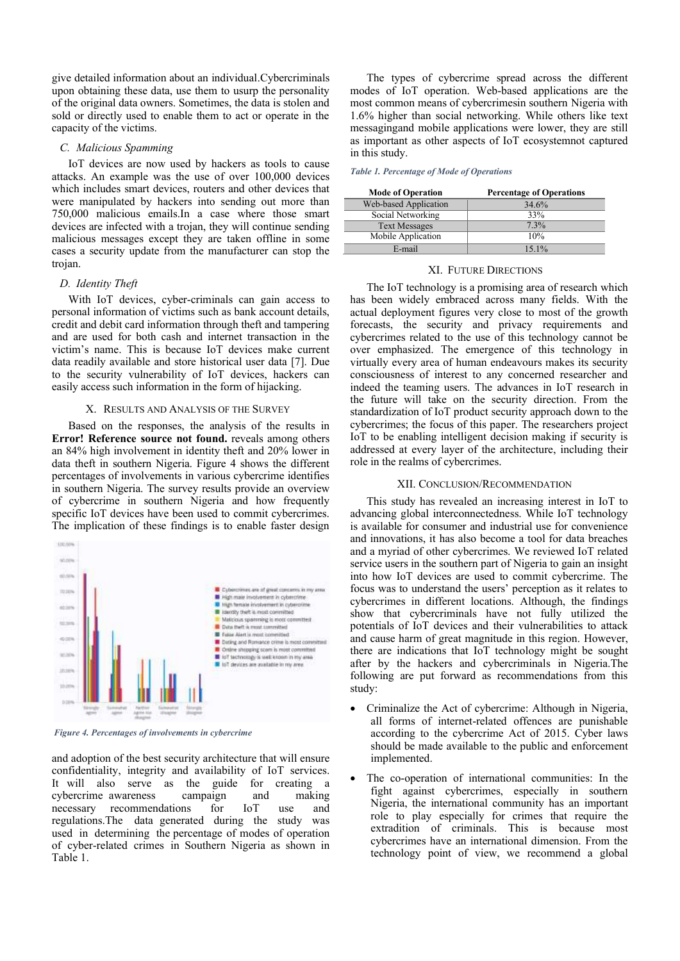give detailed information about an individual.Cybercriminals upon obtaining these data, use them to usurp the personality of the original data owners. Sometimes, the data is stolen and sold or directly used to enable them to act or operate in the capacity of the victims.

## *C. Malicious Spamming*

IoT devices are now used by hackers as tools to cause attacks. An example was the use of over 100,000 devices which includes smart devices, routers and other devices that were manipulated by hackers into sending out more than 750,000 malicious emails.In a case where those smart devices are infected with a trojan, they will continue sending malicious messages except they are taken offline in some cases a security update from the manufacturer can stop the trojan.

#### *D. Identity Theft*

With IoT devices, cyber-criminals can gain access to personal information of victims such as bank account details, credit and debit card information through theft and tampering and are used for both cash and internet transaction in the victim's name. This is because IoT devices make current data readily available and store historical user data [7]. Due to the security vulnerability of IoT devices, hackers can easily access such information in the form of hijacking.

#### X. RESULTS AND ANALYSIS OF THE SURVEY

Based on the responses, the analysis of the results in **Error! Reference source not found.** reveals among others an 84% high involvement in identity theft and 20% lower in data theft in southern Nigeria. Figure 4 shows the different percentages of involvements in various cybercrime identifies in southern Nigeria. The survey results provide an overview of cybercrime in southern Nigeria and how frequently specific IoT devices have been used to commit cybercrimes. The implication of these findings is to enable faster design



*Figure 4. Percentages of involvements in cybercrime*

and adoption of the best security architecture that will ensure confidentiality, integrity and availability of IoT services. It will also serve as the guide for creating a cybercrime awareness campaign and making necessary recommendations for IoT use and regulations.The data generated during the study was used in determining the percentage of modes of operation of cyber-related crimes in Southern Nigeria as shown in Table 1.

The types of cybercrime spread across the different modes of IoT operation. Web-based applications are the most common means of cybercrimesin southern Nigeria with 1.6% higher than social networking. While others like text messagingand mobile applications were lower, they are still as important as other aspects of IoT ecosystemnot captured in this study.

*Table 1. Percentage of Mode of Operations*

| <b>Mode of Operation</b> | <b>Percentage of Operations</b> |
|--------------------------|---------------------------------|
| Web-based Application    | 34.6%                           |
| Social Networking        | 33%                             |
| <b>Text Messages</b>     | 7.3%                            |
| Mobile Application       | 10%                             |
| E-mail                   | $15.1\%$                        |

#### XI. FUTURE DIRECTIONS

The IoT technology is a promising area of research which has been widely embraced across many fields. With the actual deployment figures very close to most of the growth forecasts, the security and privacy requirements and cybercrimes related to the use of this technology cannot be over emphasized. The emergence of this technology in virtually every area of human endeavours makes its security consciousness of interest to any concerned researcher and indeed the teaming users. The advances in IoT research in the future will take on the security direction. From the standardization of IoT product security approach down to the cybercrimes; the focus of this paper. The researchers project IoT to be enabling intelligent decision making if security is addressed at every layer of the architecture, including their role in the realms of cybercrimes.

#### XII. CONCLUSION/RECOMMENDATION

This study has revealed an increasing interest in IoT to advancing global interconnectedness. While IoT technology is available for consumer and industrial use for convenience and innovations, it has also become a tool for data breaches and a myriad of other cybercrimes. We reviewed IoT related service users in the southern part of Nigeria to gain an insight into how IoT devices are used to commit cybercrime. The focus was to understand the users' perception as it relates to cybercrimes in different locations. Although, the findings show that cybercriminals have not fully utilized the potentials of IoT devices and their vulnerabilities to attack and cause harm of great magnitude in this region. However, there are indications that IoT technology might be sought after by the hackers and cybercriminals in Nigeria.The following are put forward as recommendations from this study:

- Criminalize the Act of cybercrime: Although in Nigeria, all forms of internet-related offences are punishable according to the cybercrime Act of 2015. Cyber laws should be made available to the public and enforcement implemented.
- The co-operation of international communities: In the fight against cybercrimes, especially in southern Nigeria, the international community has an important role to play especially for crimes that require the extradition of criminals. This is because most cybercrimes have an international dimension. From the technology point of view, we recommend a global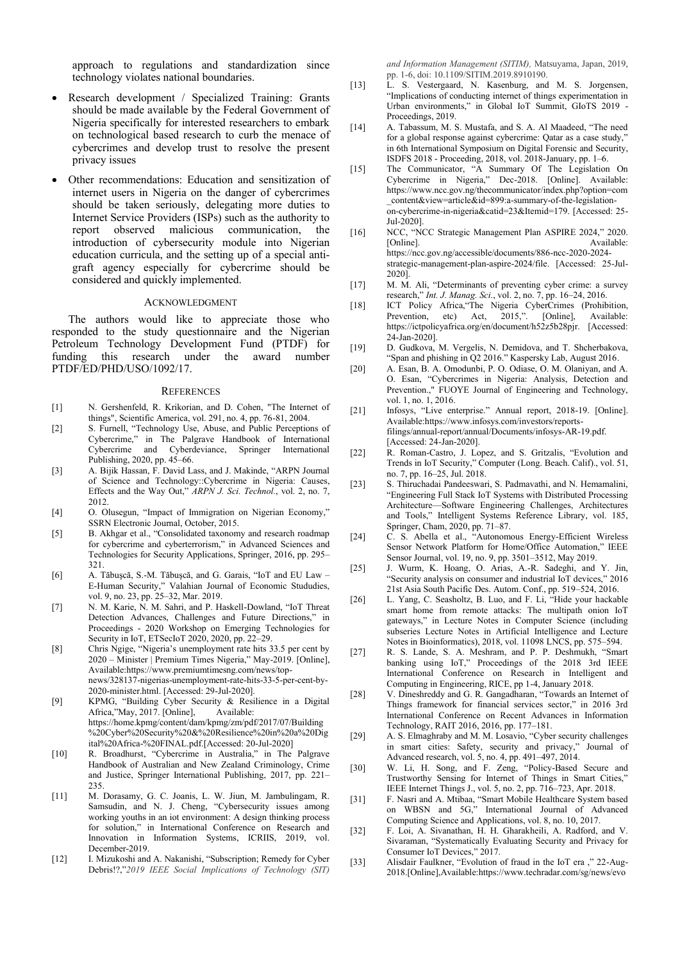approach to regulations and standardization since technology violates national boundaries.

- Research development / Specialized Training: Grants should be made available by the Federal Government of Nigeria specifically for interested researchers to embark on technological based research to curb the menace of cybercrimes and develop trust to resolve the present privacy issues
- Other recommendations: Education and sensitization of internet users in Nigeria on the danger of cybercrimes should be taken seriously, delegating more duties to Internet Service Providers (ISPs) such as the authority to report observed malicious communication, the introduction of cybersecurity module into Nigerian education curricula, and the setting up of a special antigraft agency especially for cybercrime should be considered and quickly implemented.

#### ACKNOWLEDGMENT

The authors would like to appreciate those who responded to the study questionnaire and the Nigerian Petroleum Technology Development Fund (PTDF) for funding this research under the award number PTDF/ED/PHD/USO/1092/17.

#### **REFERENCES**

- [1] N. Gershenfeld, R. Krikorian, and D. Cohen, "The Internet of things", Scientific America, vol. 291, no. 4, pp. 76-81, 2004.
- [2] S. Furnell, "Technology Use, Abuse, and Public Perceptions of Cybercrime," in The Palgrave Handbook of International Cybercrime and Cyberdeviance, Springer International Publishing, 2020, pp. 45–66.
- [3] A. Bijik Hassan, F. David Lass, and J. Makinde, "ARPN Journal of Science and Technology::Cybercrime in Nigeria: Causes, Effects and the Way Out," *ARPN J. Sci. Technol.*, vol. 2, no. 7, 2012.
- [4] O. Olusegun, "Impact of Immigration on Nigerian Economy," SSRN Electronic Journal, October, 2015.
- [5] B. Akhgar et al., "Consolidated taxonomy and research roadmap for cybercrime and cyberterrorism," in Advanced Sciences and Technologies for Security Applications, Springer, 2016, pp. 295– 321.
- [6] A. Tăbuşcă, S.-M. Tăbuşcă, and G. Garais, "IoT and EU Law E-Human Security," Valahian Journal of Economic Stududies, vol. 9, no. 23, pp. 25–32, Mar. 2019.
- [7] N. M. Karie, N. M. Sahri, and P. Haskell-Dowland, "IoT Threat Detection Advances, Challenges and Future Directions," in Proceedings - 2020 Workshop on Emerging Technologies for Security in IoT, ETSecIoT 2020, 2020, pp. 22–29.
- [8] Chris Ngige, "Nigeria's unemployment rate hits 33.5 per cent by 2020 – Minister | Premium Times Nigeria," May-2019. [Online], Available:https://www.premiumtimesng.com/news/topnews/328137-nigerias-unemployment-rate-hits-33-5-per-cent-by-2020-minister.html. [Accessed: 29-Jul-2020].
- [9] KPMG, "Building Cyber Security & Resilience in a Digital Africa,"May, 2017. [Online], Available: https://home.kpmg/content/dam/kpmg/zm/pdf/2017/07/Building %20Cyber%20Security%20&%20Resilience%20in%20a%20Dig ital%20Africa-%20FINAL.pdf.[Accessed: 20-Jul-2020]
- [10] R. Broadhurst, "Cybercrime in Australia," in The Palgrave Handbook of Australian and New Zealand Criminology, Crime and Justice, Springer International Publishing, 2017, pp. 221– 235.
- [11] M. Dorasamy, G. C. Joanis, L. W. Jiun, M. Jambulingam, R. Samsudin, and N. J. Cheng, "Cybersecurity issues among working youths in an iot environment: A design thinking process for solution," in International Conference on Research and Innovation in Information Systems, ICRIIS, 2019, vol. December-2019.
- [12] I. Mizukoshi and A. Nakanishi, "Subscription; Remedy for Cyber Debris!?,"*2019 IEEE Social Implications of Technology (SIT)*

*and Information Management (SITIM),* Matsuyama, Japan, 2019, pp. 1-6, doi: 10.1109/SITIM.2019.8910190.

- [13] L. S. Vestergaard, N. Kasenburg, and M. S. Jorgensen, "Implications of conducting internet of things experimentation in Urban environments," in Global IoT Summit, GIoTS 2019 - Proceedings, 2019.
- [14] A. Tabassum, M. S. Mustafa, and S. A. Al Maadeed, "The need for a global response against cybercrime: Qatar as a case study," in 6th International Symposium on Digital Forensic and Security, ISDFS 2018 - Proceeding, 2018, vol. 2018-January, pp. 1–6.
- [15] The Communicator, "A Summary Of The Legislation On Cybercrime in Nigeria," Dec-2018. [Online]. Available: https://www.ncc.gov.ng/thecommunicator/index.php?option=com \_content&view=article&id=899:a-summary-of-the-legislationon-cybercrime-in-nigeria&catid=23&Itemid=179. [Accessed: 25- Jul-2020].
- [16] NCC, "NCC Strategic Management Plan ASPIRE 2024," 2020. Available: https://ncc.gov.ng/accessible/documents/886-ncc-2020-2024 strategic-management-plan-aspire-2024/file. [Accessed: 25-Jul-2020].
- [17] M. M. Ali, "Determinants of preventing cyber crime: a survey research," *Int. J. Manag. Sci.*, vol. 2, no. 7, pp. 16–24, 2016.
- [18] ICT Policy Africa,"The Nigeria CyberCrimes (Prohibition, Prevention, etc) Act, 2015,". [Online], Available: https://ictpolicyafrica.org/en/document/h52z5b28pjr. [Accessed: 24-Jan-2020].
- [19] D. Gudkova, M. Vergelis, N. Demidova, and T. Shcherbakova, "Span and phishing in Q2 2016." Kaspersky Lab, August 2016.
- [20] A. Esan, B. A. Omodunbi, P. O. Odiase, O. M. Olaniyan, and A. O. Esan, "Cybercrimes in Nigeria: Analysis, Detection and Prevention.," FUOYE Journal of Engineering and Technology, vol. 1, no. 1, 2016.
- [21] Infosys, "Live enterprise." Annual report, 2018-19. [Online]. Available:https://www.infosys.com/investors/reportsfilings/annual-report/annual/Documents/infosys-AR-19.pdf. [Accessed: 24-Jan-2020].
- [22] R. Roman-Castro, J. Lopez, and S. Gritzalis, "Evolution and Trends in IoT Security," Computer (Long. Beach. Calif)., vol. 51, no. 7, pp. 16–25, Jul. 2018.
- [23] S. Thiruchadai Pandeeswari, S. Padmavathi, and N. Hemamalini, "Engineering Full Stack IoT Systems with Distributed Processing Architecture—Software Engineering Challenges, Architectures and Tools," Intelligent Systems Reference Library, vol. 185, Springer, Cham, 2020, pp. 71–87.
- [24] C. S. Abella et al., "Autonomous Energy-Efficient Wireless Sensor Network Platform for Home/Office Automation," IEEE Sensor Journal, vol. 19, no. 9, pp. 3501–3512, May 2019.
- [25] J. Wurm, K. Hoang, O. Arias, A.-R. Sadeghi, and Y. Jin, "Security analysis on consumer and industrial IoT devices," 2016 21st Asia South Pacific Des. Autom. Conf., pp. 519–524, 2016.
- [26] L. Yang, C. Seasholtz, B. Luo, and F. Li, "Hide your hackable smart home from remote attacks: The multipath onion IoT gateways," in Lecture Notes in Computer Science (including subseries Lecture Notes in Artificial Intelligence and Lecture Notes in Bioinformatics), 2018, vol. 11098 LNCS, pp. 575–594.
- [27] R. S. Lande, S. A. Meshram, and P. P. Deshmukh, "Smart banking using IoT," Proceedings of the 2018 3rd IEEE International Conference on Research in Intelligent and Computing in Engineering, RICE, pp 1-4, January 2018.
- [28] V. Dineshreddy and G. R. Gangadharan, "Towards an Internet of Things framework for financial services sector," in 2016 3rd International Conference on Recent Advances in Information Technology, RAIT 2016, 2016, pp. 177–181.
- [29] A. S. Elmaghraby and M. M. Losavio, "Cyber security challenges in smart cities: Safety, security and privacy," Journal of Advanced research, vol. 5, no. 4, pp. 491–497, 2014.
- [30] W. Li, H. Song, and F. Zeng, "Policy-Based Secure and Trustworthy Sensing for Internet of Things in Smart Cities," IEEE Internet Things J., vol. 5, no. 2, pp. 716–723, Apr. 2018.
- [31] F. Nasri and A. Mtibaa, "Smart Mobile Healthcare System based on WBSN and 5G," International Journal of Advanced Computing Science and Applications, vol. 8, no. 10, 2017.
- [32] F. Loi, A. Sivanathan, H. H. Gharakheili, A. Radford, and V. Sivaraman, "Systematically Evaluating Security and Privacy for Consumer IoT Devices," 2017.
- [33] Alisdair Faulkner, "Evolution of fraud in the IoT era ," 22-Aug-2018.[Online],Available:https://www.techradar.com/sg/news/evo